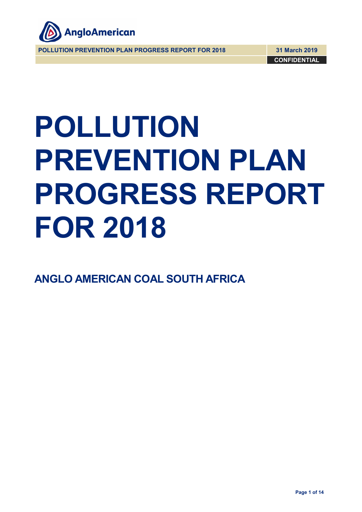

**POLLUTION PREVENTION PLAN PROGRESS REPORT FOR 2018 31 March 2019**

**CONFIDENTIAL**

# **POLLUTION PREVENTION PLAN PROGRESS REPORT FOR 2018**

**ANGLO AMERICAN COAL SOUTH AFRICA**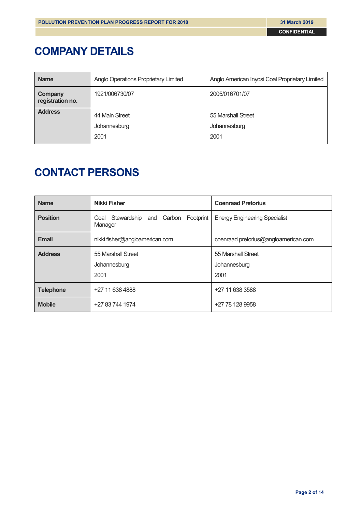# **COMPANY DETAILS**

| <b>Name</b>                 | Anglo Operations Proprietary Limited | Anglo American Inyosi Coal Proprietary Limited |
|-----------------------------|--------------------------------------|------------------------------------------------|
| Company<br>registration no. | 1921/006730/07                       | 2005/016701/07                                 |
| <b>Address</b>              | 44 Main Street                       | 55 Marshall Street                             |
|                             | Johannesburg                         | Johannesburg                                   |
|                             | 2001                                 | 2001                                           |

# **CONTACT PERSONS**

| <b>Name</b>      | <b>Nikki Fisher</b>                                    | <b>Coenraad Pretorius</b>            |  |  |
|------------------|--------------------------------------------------------|--------------------------------------|--|--|
| <b>Position</b>  | Coal Stewardship<br>and Carbon<br>Footprint<br>Manager | <b>Energy Engineering Specialist</b> |  |  |
| <b>Email</b>     | nikki.fisher@angloamerican.com                         | coenraad.pretorius@angloamerican.com |  |  |
| <b>Address</b>   | 55 Marshall Street                                     | 55 Marshall Street                   |  |  |
|                  | Johannesburg                                           | Johannesburg                         |  |  |
|                  | 2001                                                   | 2001                                 |  |  |
| <b>Telephone</b> | +27 11 638 4888                                        | +27 11 638 3588                      |  |  |
| <b>Mobile</b>    | +27 83 744 1974                                        | +27 78 128 9958                      |  |  |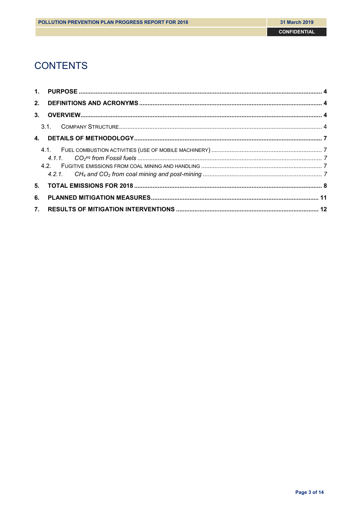# **CONTENTS**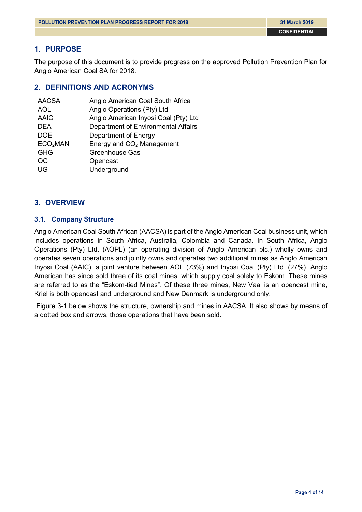# <span id="page-3-0"></span>**1. PURPOSE**

The purpose of this document is to provide progress on the approved Pollution Prevention Plan for Anglo American Coal SA for 2018.

# <span id="page-3-1"></span>**2. DEFINITIONS AND ACRONYMS**

| <b>AACSA</b>         | Anglo American Coal South Africa      |
|----------------------|---------------------------------------|
| <b>AOL</b>           | Anglo Operations (Pty) Ltd            |
| <b>AAIC</b>          | Anglo American Inyosi Coal (Pty) Ltd  |
| <b>DEA</b>           | Department of Environmental Affairs   |
| <b>DOE</b>           | Department of Energy                  |
| ECO <sub>2</sub> MAN | Energy and CO <sub>2</sub> Management |
| <b>GHG</b>           | <b>Greenhouse Gas</b>                 |
| <b>OC</b>            | Opencast                              |
| UG                   | Underground                           |

# <span id="page-3-2"></span>**3. OVERVIEW**

## <span id="page-3-3"></span>**3.1. Company Structure**

Anglo American Coal South African (AACSA) is part of the Anglo American Coal business unit, which includes operations in South Africa, Australia, Colombia and Canada. In South Africa, Anglo Operations (Pty) Ltd. (AOPL) (an operating division of Anglo American plc.) wholly owns and operates seven operations and jointly owns and operates two additional mines as Anglo American Inyosi Coal (AAIC), a joint venture between AOL (73%) and Inyosi Coal (Pty) Ltd. (27%). Anglo American has since sold three of its coal mines, which supply coal solely to Eskom. These mines are referred to as the "Eskom-tied Mines". Of these three mines, New Vaal is an opencast mine, Kriel is both opencast and underground and New Denmark is underground only.

Figure 3-1 below shows the structure, ownership and mines in AACSA. It also shows by means of a dotted box and arrows, those operations that have been sold.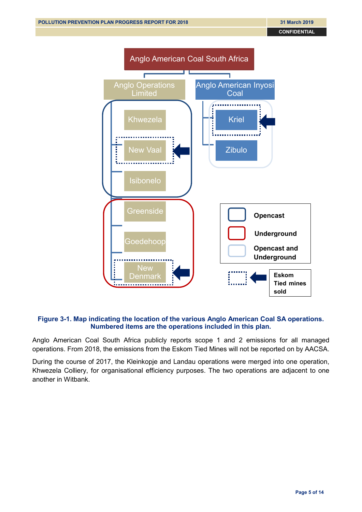

#### **Figure 3-1. Map indicating the location of the various Anglo American Coal SA operations. Numbered items are the operations included in this plan.**

Anglo American Coal South Africa publicly reports scope 1 and 2 emissions for all managed operations. From 2018, the emissions from the Eskom Tied Mines will not be reported on by AACSA.

During the course of 2017, the Kleinkopje and Landau operations were merged into one operation, Khwezela Colliery, for organisational efficiency purposes. The two operations are adjacent to one another in Witbank.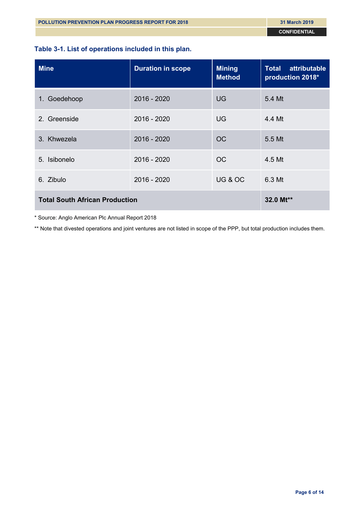# **Table 3-1. List of operations included in this plan.**

| <b>Mine</b>                           | <b>Duration in scope</b> | <b>Mining</b><br><b>Method</b> | attributable<br><b>Total</b><br>production 2018* |
|---------------------------------------|--------------------------|--------------------------------|--------------------------------------------------|
| 1. Goedehoop                          | $2016 - 2020$            | <b>UG</b>                      | 5.4 Mt                                           |
| 2. Greenside                          | 2016 - 2020              | <b>UG</b>                      | 4.4 Mt                                           |
| 3. Khwezela                           | $2016 - 2020$            | <b>OC</b>                      | 5.5 Mt                                           |
| Isibonelo<br>5.                       | 2016 - 2020              | <b>OC</b>                      | 4.5 Mt                                           |
| 6. Zibulo                             | 2016 - 2020              | UG & OC                        | 6.3 Mt                                           |
| <b>Total South African Production</b> | 32.0 Mt**                |                                |                                                  |

\* Source: Anglo American Plc Annual Report 2018

\*\* Note that divested operations and joint ventures are not listed in scope of the PPP, but total production includes them.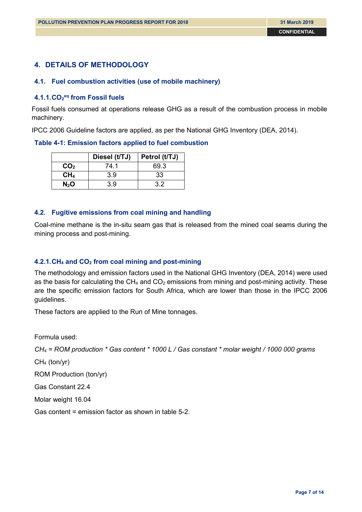# <span id="page-6-0"></span>**4. DETAILS OF METHODOLOGY**

#### <span id="page-6-1"></span>**4.1. Fuel combustion activities (use of mobile machinery)**

#### <span id="page-6-2"></span>**4.1.1.CO2 eq from Fossil fuels**

Fossil fuels consumed at operations release GHG as a result of the combustion process in mobile machinery.

IPCC 2006 Guideline factors are applied, as per the National GHG Inventory (DEA, 2014).

#### **Table 4-1: Emission factors applied to fuel combustion**

|                 | Diesel (t/TJ) | Petrol (t/TJ) |
|-----------------|---------------|---------------|
| CO <sub>2</sub> | 74.1          | 69.3          |
| CH <sub>4</sub> | 3.9           | 33            |
| $N_2$ O         | 3.9           | 32            |

#### <span id="page-6-3"></span>**4.2. Fugitive emissions from coal mining and handling**

Coal-mine methane is the in-situ seam gas that is released from the mined coal seams during the mining process and post-mining.

#### <span id="page-6-4"></span>**4.2.1.CH4 and CO2 from coal mining and post-mining**

The methodology and emission factors used in the National GHG Inventory (DEA, 2014) were used as the basis for calculating the  $CH_4$  and  $CO_2$  emissions from mining and post-mining activity. These are the specific emission factors for South Africa, which are lower than those in the IPCC 2006 guidelines.

These factors are applied to the Run of Mine tonnages.

Formula used:

*CH4 = ROM production \* Gas content \* 1000 L / Gas constant \* molar weight / 1000 000 grams*

CH4 (ton/yr)

ROM Production (ton/yr)

Gas Constant 22.4

Molar weight 16.04

Gas content = emission factor as shown in table 5-2.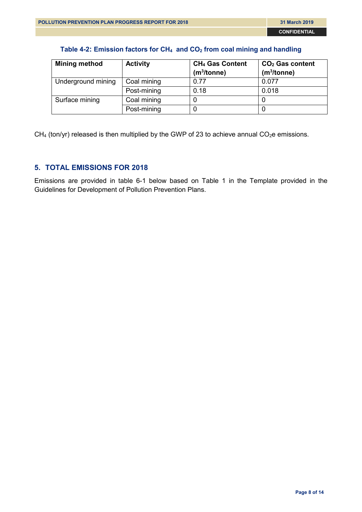## **Table 4-2: Emission factors for CH4 and CO2 from coal mining and handling**

| <b>Mining method</b> | <b>Activity</b> | CH <sub>4</sub> Gas Content<br>(m <sup>3</sup> /tonne) | $CO2$ Gas content<br>(m <sup>3</sup> /tonne) |
|----------------------|-----------------|--------------------------------------------------------|----------------------------------------------|
| Underground mining   | Coal mining     | 0.77                                                   | 0.077                                        |
|                      | Post-mining     | 0.18                                                   | 0.018                                        |
| Surface mining       | Coal mining     |                                                        |                                              |
|                      | Post-mining     |                                                        |                                              |

 $CH<sub>4</sub>$  (ton/yr) released is then multiplied by the GWP of 23 to achieve annual CO<sub>2</sub>e emissions.

# <span id="page-7-0"></span>**5. TOTAL EMISSIONS FOR 2018**

Emissions are provided in table 6-1 below based on Table 1 in the Template provided in the Guidelines for Development of Pollution Prevention Plans.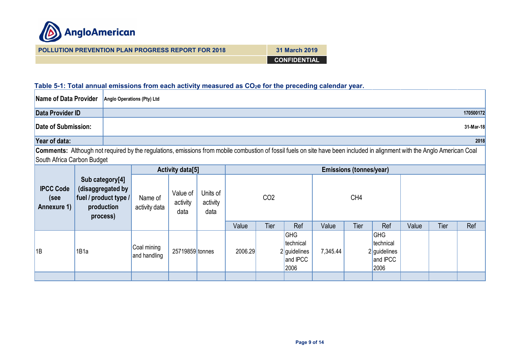

| <b>POLLUTION PREVENTION PLAN PROGRESS REPORT FOR 2018</b> | <b>31 March 2019</b> |
|-----------------------------------------------------------|----------------------|
|                                                           | <b>CONFIDENTIAL</b>  |

# Table 5-1: Total annual emissions from each activity measured as CO<sub>2</sub>e for the preceding calendar year.

| Name of Data Provider                   |                                                                                         | Anglo Operations (Pty) Ltd                                                                                                                                                |                              |                              |         |                 |                                                             |                                |      |                                                        |       |      |           |
|-----------------------------------------|-----------------------------------------------------------------------------------------|---------------------------------------------------------------------------------------------------------------------------------------------------------------------------|------------------------------|------------------------------|---------|-----------------|-------------------------------------------------------------|--------------------------------|------|--------------------------------------------------------|-------|------|-----------|
| Data Provider ID                        |                                                                                         |                                                                                                                                                                           |                              |                              |         |                 |                                                             |                                |      |                                                        |       |      | 170500172 |
| <b>Date of Submission:</b>              |                                                                                         |                                                                                                                                                                           |                              |                              |         |                 |                                                             |                                |      |                                                        |       |      | 31-Mar-18 |
| Year of data:                           |                                                                                         |                                                                                                                                                                           |                              |                              |         |                 |                                                             |                                |      |                                                        |       |      | 2018      |
| South Africa Carbon Budget              |                                                                                         | Comments: Although not required by the regulations, emissions from mobile combustion of fossil fuels on site have been included in alignment with the Anglo American Coal |                              |                              |         |                 |                                                             |                                |      |                                                        |       |      |           |
| <b>Activity data[5]</b>                 |                                                                                         |                                                                                                                                                                           |                              |                              |         |                 |                                                             | <b>Emissions (tonnes/year)</b> |      |                                                        |       |      |           |
| <b>IPCC Code</b><br>(see<br>Annexure 1) | Sub category[4]<br>(disaggregated by<br>fuel / product type /<br>production<br>process) | Name of<br>activity data                                                                                                                                                  | Value of<br>activity<br>data | Units of<br>activity<br>data |         | CO <sub>2</sub> |                                                             |                                | CH4  |                                                        |       |      |           |
|                                         |                                                                                         |                                                                                                                                                                           |                              |                              | Value   | Tier            | Ref                                                         | Value                          | Tier | Ref                                                    | Value | Tier | Ref       |
| 1B                                      | 1B1a                                                                                    | Coal mining<br>and handling                                                                                                                                               | 25719859 tonnes              |                              | 2006.29 |                 | <b>GHG</b><br>technical<br>2 guidelines<br>and IPCC<br>2006 | 7,345.44                       |      | GHG<br>technical<br>$2$ guidelines<br>and IPCC<br>2006 |       |      |           |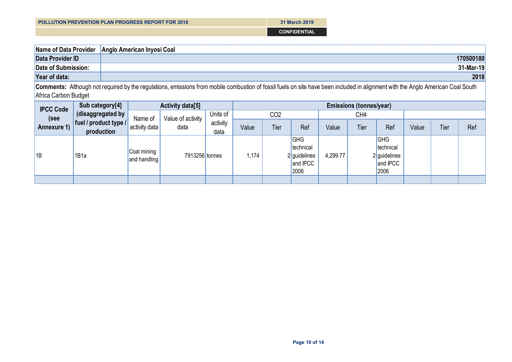| <b>POLLUTION PREVENTION PLAN PROGRESS REPORT FOR 2018</b> |  |
|-----------------------------------------------------------|--|
|                                                           |  |

**31 March 2019 CONFIDENTIAL**

| Name of Data Provider | Anglo American Inyosi Coal                                                                                                                                                      |
|-----------------------|---------------------------------------------------------------------------------------------------------------------------------------------------------------------------------|
| Data Provider ID      | 170500180                                                                                                                                                                       |
| Date of Submission:   | 31-Mar-19                                                                                                                                                                       |
| Year of data:         | 2018                                                                                                                                                                            |
|                       | Comments: Although not required by the requistions, emissions from mobile combustion of fossil fuels on site have been included in alignment with the Anglo American Coal South |

**Comments:** Although not required by the regulations, emissions from mobile combustion of fossil fuels on site have been included in alignment with the Anglo American Coal South Africa Carbon Budget

| <b>IPCC Code</b> | Sub category[4]                     |                             | <b>Activity data[5]</b> | <b>Emissions (tonnes/year)</b> |       |                 |                                                             |          |      |                                                               |       |      |     |
|------------------|-------------------------------------|-----------------------------|-------------------------|--------------------------------|-------|-----------------|-------------------------------------------------------------|----------|------|---------------------------------------------------------------|-------|------|-----|
| (see             | (disaggregated by                   | Name of                     | Value of activity       | Units of                       |       | CO <sub>2</sub> |                                                             |          | CH4  |                                                               |       |      |     |
| Annexure 1)      | fuel / product type /<br>production | activity data               | data                    | activity<br>data               | Value | Tier            | Ref                                                         | Value    | Tier | Ref                                                           | Value | Tier | Ref |
| 1B               | 1B1a                                | Coal mining<br>and handling | 7913256 tonnes          |                                | 1,174 |                 | <b>GHG</b><br>technical<br>2 guidelines<br>and IPCC<br>2006 | 4,299.77 |      | <b>GHG</b><br>technical<br>$2$ guidelines<br>and IPCC<br>2006 |       |      |     |
|                  |                                     |                             |                         |                                |       |                 |                                                             |          |      |                                                               |       |      |     |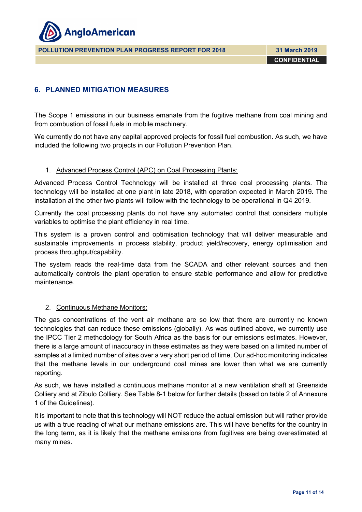

**POLLUTION PREVENTION PLAN PROGRESS REPORT FOR 2018 31 March 2019**

**CONFIDENTIAL**

# <span id="page-10-0"></span>**6. PLANNED MITIGATION MEASURES**

The Scope 1 emissions in our business emanate from the fugitive methane from coal mining and from combustion of fossil fuels in mobile machinery.

We currently do not have any capital approved projects for fossil fuel combustion. As such, we have included the following two projects in our Pollution Prevention Plan.

#### 1. Advanced Process Control (APC) on Coal Processing Plants:

Advanced Process Control Technology will be installed at three coal processing plants. The technology will be installed at one plant in late 2018, with operation expected in March 2019. The installation at the other two plants will follow with the technology to be operational in Q4 2019.

Currently the coal processing plants do not have any automated control that considers multiple variables to optimise the plant efficiency in real time.

This system is a proven control and optimisation technology that will deliver measurable and sustainable improvements in process stability, product yield/recovery, energy optimisation and process throughput/capability.

The system reads the real-time data from the SCADA and other relevant sources and then automatically controls the plant operation to ensure stable performance and allow for predictive maintenance.

#### 2. Continuous Methane Monitors:

The gas concentrations of the vent air methane are so low that there are currently no known technologies that can reduce these emissions (globally). As was outlined above, we currently use the IPCC Tier 2 methodology for South Africa as the basis for our emissions estimates. However, there is a large amount of inaccuracy in these estimates as they were based on a limited number of samples at a limited number of sites over a very short period of time. Our ad-hoc monitoring indicates that the methane levels in our underground coal mines are lower than what we are currently reporting.

As such, we have installed a continuous methane monitor at a new ventilation shaft at Greenside Colliery and at Zibulo Colliery. See Table 8-1 below for further details (based on table 2 of Annexure 1 of the Guidelines).

It is important to note that this technology will NOT reduce the actual emission but will rather provide us with a true reading of what our methane emissions are. This will have benefits for the country in the long term, as it is likely that the methane emissions from fugitives are being overestimated at many mines.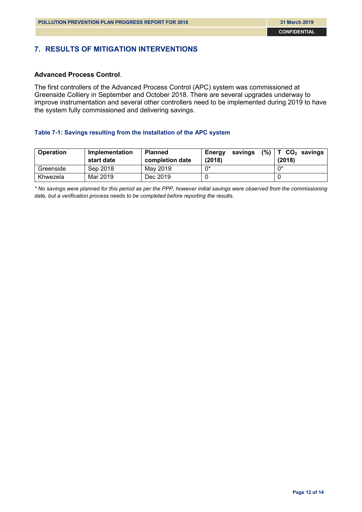# <span id="page-11-0"></span>**7. RESULTS OF MITIGATION INTERVENTIONS**

#### **Advanced Process Control**.

The first controllers of the Advanced Process Control (APC) system was commissioned at Greenside Colliery in September and October 2018. There are several upgrades underway to improve instrumentation and several other controllers need to be implemented during 2019 to have the system fully commissioned and delivering savings.

#### **Table 7-1: Savings resulting from the installation of the APC system**

| <b>Operation</b> | Implementation<br>start date | <b>Planned</b><br>completion date | savings<br>Energy<br>(2018) | $(\%)$   T CO <sub>2</sub> savings<br>(2018) |
|------------------|------------------------------|-----------------------------------|-----------------------------|----------------------------------------------|
| Greenside        | Sep 2018                     | May 2019                          | $0^*$                       | $0^*$                                        |
| Khwezela         | Mar 2019                     | Dec 2019                          |                             |                                              |

*\* No savings were planned for this period as per the PPP, however initial savings were observed from the commissioning date, but a verification process needs to be completed before reporting the results.*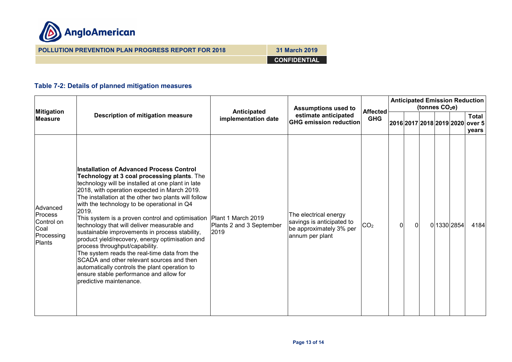

**POLLUTION PREVENTION PLAN PROGRESS REPORT FOR 2018 31 March 2019 CONFIDENTIAL**

# **Table 7-2: Details of planned mitigation measures**

| <b>Mitigation</b><br><b>Measure</b> |                                                                                 |                                                                                                                                                                                                                                                                                                                                                                                                                                                                                                                                                                                                                                                                                                                                                                                                        | <b>Assumptions used to</b>         |                                                                                                  | <b>Anticipated Emission Reduction</b><br>(tonnes $CO2e$ ) |          |   |  |  |                          |                                 |
|-------------------------------------|---------------------------------------------------------------------------------|--------------------------------------------------------------------------------------------------------------------------------------------------------------------------------------------------------------------------------------------------------------------------------------------------------------------------------------------------------------------------------------------------------------------------------------------------------------------------------------------------------------------------------------------------------------------------------------------------------------------------------------------------------------------------------------------------------------------------------------------------------------------------------------------------------|------------------------------------|--------------------------------------------------------------------------------------------------|-----------------------------------------------------------|----------|---|--|--|--------------------------|---------------------------------|
|                                     |                                                                                 | <b>Description of mitigation measure</b>                                                                                                                                                                                                                                                                                                                                                                                                                                                                                                                                                                                                                                                                                                                                                               | Anticipated<br>implementation date | estimate anticipated<br><b>GHG emission reduction</b>                                            | <b>Affected</b><br><b>GHG</b>                             |          |   |  |  | 2016 2017 2018 2019 2020 | <b>Total</b><br>over 5<br>years |
|                                     | Advanced<br><b>Process</b><br>Control on<br>Coal<br>Processing<br><b>Plants</b> | <b>Installation of Advanced Process Control</b><br>Technology at 3 coal processing plants. The<br>technology will be installed at one plant in late<br>2018, with operation expected in March 2019.<br>The installation at the other two plants will follow<br>with the technology to be operational in Q4<br>2019.<br>This system is a proven control and optimisation   Plant 1 March 2019<br>technology that will deliver measurable and<br>sustainable improvements in process stability,<br>product yield/recovery, energy optimisation and<br>process throughput/capability.<br>The system reads the real-time data from the<br>SCADA and other relevant sources and then<br>automatically controls the plant operation to<br>ensure stable performance and allow for<br>predictive maintenance. | Plants 2 and 3 September<br>2019   | The electrical energy<br>savings is anticipated to<br>be approximately 3% per<br>annum per plant | CO <sub>2</sub>                                           | $\Omega$ | 0 |  |  | 0 1330 2854              | 4184                            |